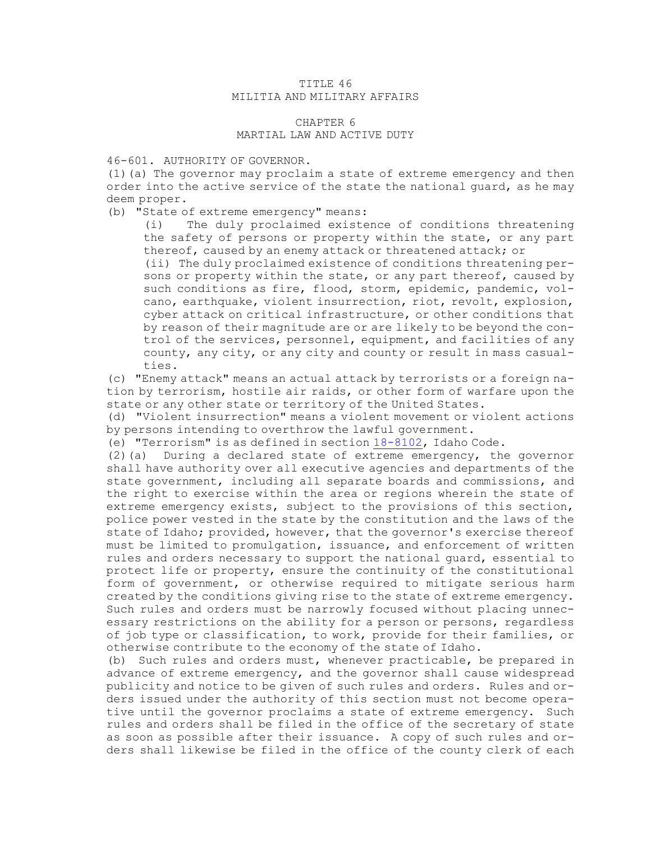## TITLE 46 MILITIA AND MILITARY AFFAIRS

## CHAPTER 6 MARTIAL LAW AND ACTIVE DUTY

## 46-601. AUTHORITY OF GOVERNOR.

(1)(a) The governor may proclaim <sup>a</sup> state of extreme emergency and then order into the active service of the state the national guard, as he may deem proper.

(b) "State of extreme emergency" means:

(i) The duly proclaimed existence of conditions threatening the safety of persons or property within the state, or any part thereof, caused by an enemy attack or threatened attack; or

(ii) The duly proclaimed existence of conditions threatening persons or property within the state, or any part thereof, caused by such conditions as fire, flood, storm, epidemic, pandemic, volcano, earthquake, violent insurrection, riot, revolt, explosion, cyber attack on critical infrastructure, or other conditions that by reason of their magnitude are or are likely to be beyond the control of the services, personnel, equipment, and facilities of any county, any city, or any city and county or result in mass casualties.

(c) "Enemy attack" means an actual attack by terrorists or <sup>a</sup> foreign nation by terrorism, hostile air raids, or other form of warfare upon the state or any other state or territory of the United States.

(d) "Violent insurrection" means <sup>a</sup> violent movement or violent actions by persons intending to overthrow the lawful government.

(e) "Terrorism" is as defined in section [18-8102](/statutesrules/idstat/Title18/T18CH81/SECT18-8102), Idaho Code.

(2)(a) During <sup>a</sup> declared state of extreme emergency, the governor shall have authority over all executive agencies and departments of the state government, including all separate boards and commissions, and the right to exercise within the area or regions wherein the state of extreme emergency exists, subject to the provisions of this section, police power vested in the state by the constitution and the laws of the state of Idaho; provided, however, that the governor's exercise thereof must be limited to promulgation, issuance, and enforcement of written rules and orders necessary to support the national guard, essential to protect life or property, ensure the continuity of the constitutional form of government, or otherwise required to mitigate serious harm created by the conditions giving rise to the state of extreme emergency. Such rules and orders must be narrowly focused without placing unnecessary restrictions on the ability for <sup>a</sup> person or persons, regardless of job type or classification, to work, provide for their families, or otherwise contribute to the economy of the state of Idaho.

(b) Such rules and orders must, whenever practicable, be prepared in advance of extreme emergency, and the governor shall cause widespread publicity and notice to be given of such rules and orders. Rules and orders issued under the authority of this section must not become operative until the governor proclaims <sup>a</sup> state of extreme emergency. Such rules and orders shall be filed in the office of the secretary of state as soon as possible after their issuance. <sup>A</sup> copy of such rules and orders shall likewise be filed in the office of the county clerk of each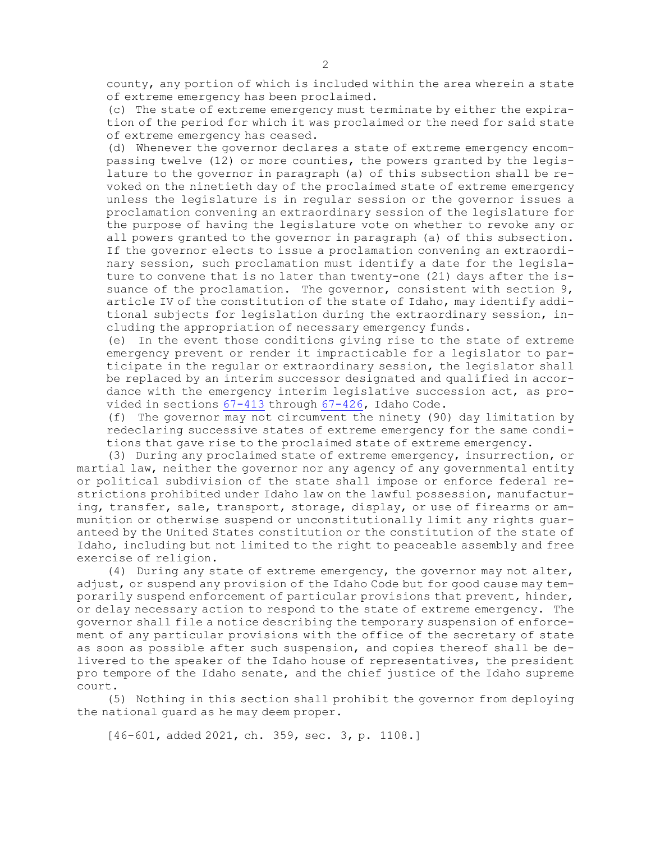county, any portion of which is included within the area wherein <sup>a</sup> state of extreme emergency has been proclaimed.

(c) The state of extreme emergency must terminate by either the expiration of the period for which it was proclaimed or the need for said state of extreme emergency has ceased.

(d) Whenever the governor declares <sup>a</sup> state of extreme emergency encompassing twelve (12) or more counties, the powers granted by the legislature to the governor in paragraph (a) of this subsection shall be revoked on the ninetieth day of the proclaimed state of extreme emergency unless the legislature is in regular session or the governor issues <sup>a</sup> proclamation convening an extraordinary session of the legislature for the purpose of having the legislature vote on whether to revoke any or all powers granted to the governor in paragraph (a) of this subsection. If the governor elects to issue <sup>a</sup> proclamation convening an extraordinary session, such proclamation must identify <sup>a</sup> date for the legislature to convene that is no later than twenty-one (21) days after the issuance of the proclamation. The governor, consistent with section 9, article IV of the constitution of the state of Idaho, may identify additional subjects for legislation during the extraordinary session, including the appropriation of necessary emergency funds.

(e) In the event those conditions giving rise to the state of extreme emergency prevent or render it impracticable for <sup>a</sup> legislator to participate in the regular or extraordinary session, the legislator shall be replaced by an interim successor designated and qualified in accordance with the emergency interim legislative succession act, as provided in sections [67-413](/statutesrules/idstat/Title67/T67CH4/SECT67-413) through [67-426](/statutesrules/idstat/Title67/T67CH4/SECT67-426), Idaho Code.

(f) The governor may not circumvent the ninety (90) day limitation by redeclaring successive states of extreme emergency for the same conditions that gave rise to the proclaimed state of extreme emergency.

(3) During any proclaimed state of extreme emergency, insurrection, or martial law, neither the governor nor any agency of any governmental entity or political subdivision of the state shall impose or enforce federal restrictions prohibited under Idaho law on the lawful possession, manufacturing, transfer, sale, transport, storage, display, or use of firearms or ammunition or otherwise suspend or unconstitutionally limit any rights guaranteed by the United States constitution or the constitution of the state of Idaho, including but not limited to the right to peaceable assembly and free exercise of religion.

(4) During any state of extreme emergency, the governor may not alter, adjust, or suspend any provision of the Idaho Code but for good cause may temporarily suspend enforcement of particular provisions that prevent, hinder, or delay necessary action to respond to the state of extreme emergency. The governor shall file <sup>a</sup> notice describing the temporary suspension of enforcement of any particular provisions with the office of the secretary of state as soon as possible after such suspension, and copies thereof shall be delivered to the speaker of the Idaho house of representatives, the president pro tempore of the Idaho senate, and the chief justice of the Idaho supreme court.

(5) Nothing in this section shall prohibit the governor from deploying the national guard as he may deem proper.

[46-601, added 2021, ch. 359, sec. 3, p. 1108.]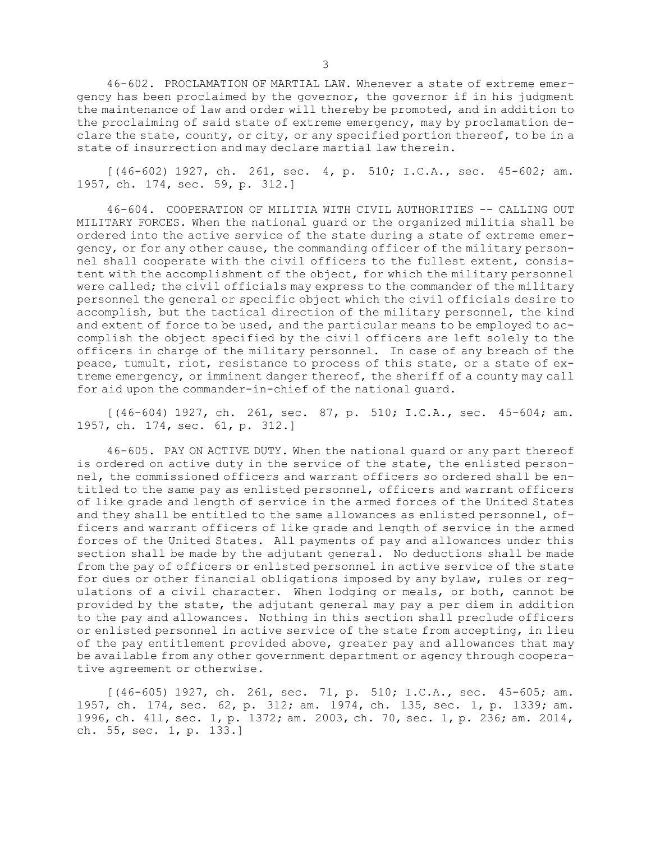46-602. PROCLAMATION OF MARTIAL LAW. Whenever a state of extreme emergency has been proclaimed by the governor, the governor if in his judgment the maintenance of law and order will thereby be promoted, and in addition to the proclaiming of said state of extreme emergency, may by proclamation declare the state, county, or city, or any specified portion thereof, to be in <sup>a</sup> state of insurrection and may declare martial law therein.

 $[(46-602) 1927, ch. 261, sec. 4, p. 510; I.C.A., sec. 45-602; am.$ 1957, ch. 174, sec. 59, p. 312.]

46-604. COOPERATION OF MILITIA WITH CIVIL AUTHORITIES -- CALLING OUT MILITARY FORCES. When the national guard or the organized militia shall be ordered into the active service of the state during <sup>a</sup> state of extreme emergency, or for any other cause, the commanding officer of the military personnel shall cooperate with the civil officers to the fullest extent, consistent with the accomplishment of the object, for which the military personnel were called; the civil officials may express to the commander of the military personnel the general or specific object which the civil officials desire to accomplish, but the tactical direction of the military personnel, the kind and extent of force to be used, and the particular means to be employed to accomplish the object specified by the civil officers are left solely to the officers in charge of the military personnel. In case of any breach of the peace, tumult, riot, resistance to process of this state, or <sup>a</sup> state of extreme emergency, or imminent danger thereof, the sheriff of <sup>a</sup> county may call for aid upon the commander-in-chief of the national guard.

[(46-604) 1927, ch. 261, sec. 87, p. 510; I.C.A., sec. 45-604; am. 1957, ch. 174, sec. 61, p. 312.]

46-605. PAY ON ACTIVE DUTY. When the national guard or any part thereof is ordered on active duty in the service of the state, the enlisted personnel, the commissioned officers and warrant officers so ordered shall be entitled to the same pay as enlisted personnel, officers and warrant officers of like grade and length of service in the armed forces of the United States and they shall be entitled to the same allowances as enlisted personnel, officers and warrant officers of like grade and length of service in the armed forces of the United States. All payments of pay and allowances under this section shall be made by the adjutant general. No deductions shall be made from the pay of officers or enlisted personnel in active service of the state for dues or other financial obligations imposed by any bylaw, rules or regulations of <sup>a</sup> civil character. When lodging or meals, or both, cannot be provided by the state, the adjutant general may pay <sup>a</sup> per diem in addition to the pay and allowances. Nothing in this section shall preclude officers or enlisted personnel in active service of the state from accepting, in lieu of the pay entitlement provided above, greater pay and allowances that may be available from any other government department or agency through cooperative agreement or otherwise.

[(46-605) 1927, ch. 261, sec. 71, p. 510; I.C.A., sec. 45-605; am. 1957, ch. 174, sec. 62, p. 312; am. 1974, ch. 135, sec. 1, p. 1339; am. 1996, ch. 411, sec. 1, p. 1372; am. 2003, ch. 70, sec. 1, p. 236; am. 2014, ch. 55, sec. 1, p. 133.]